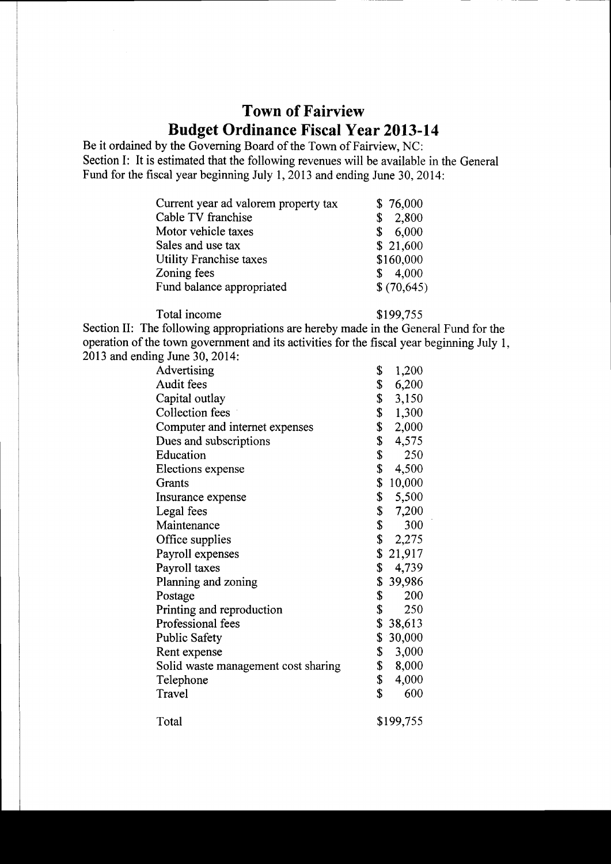## Town of Fairview Budget Ordinance Fiscal Year 2013-14

Be it ordained by the Governing Board of the Town of Fairview, NC: Section I: It is estimated that the following revenues will be available in the General Fund for the fiscal year beginning July 1, 2013 and ending June 30, 2014:

| Current year ad valorem property tax | \$76,000    |
|--------------------------------------|-------------|
| Cable TV franchise                   | 2,800<br>\$ |
| Motor vehicle taxes                  | \$6,000     |
| Sales and use tax                    | \$21,600    |
| Utility Franchise taxes              | \$160,000   |
| Zoning fees                          | 4,000<br>S. |
| Fund balance appropriated            | \$(70,645)  |

Total income

\$199,755

Section II: The following appropriations are hereby made in the General Fund for the operation of the town govemment and its activities for the fiscal year beginning July l, 2013 and ending June 30, 2014:

| Advertising                         | \$<br>1,200  |  |
|-------------------------------------|--------------|--|
| Audit fees                          | \$<br>6,200  |  |
| Capital outlay                      | \$<br>3,150  |  |
| Collection fees                     | \$<br>1,300  |  |
| Computer and internet expenses      | \$<br>2,000  |  |
| Dues and subscriptions              | \$<br>4,575  |  |
| Education                           | \$<br>250    |  |
| Elections expense                   | \$<br>4,500  |  |
| Grants                              | \$<br>10,000 |  |
| Insurance expense                   | \$<br>5,500  |  |
| Legal fees                          | \$<br>7,200  |  |
| Maintenance                         | \$<br>300    |  |
| Office supplies                     | \$2,275      |  |
| Payroll expenses                    | \$21,917     |  |
| Payroll taxes                       | \$<br>4,739  |  |
| Planning and zoning                 | \$<br>39,986 |  |
| Postage                             | \$<br>200    |  |
| Printing and reproduction           | \$<br>250    |  |
| Professional fees                   | \$38,613     |  |
| <b>Public Safety</b>                | \$30,000     |  |
| Rent expense                        | \$<br>3,000  |  |
| Solid waste management cost sharing | \$<br>8,000  |  |
| Telephone                           | \$<br>4,000  |  |
| Travel                              | \$<br>600    |  |
| Total                               | \$199,755    |  |
|                                     |              |  |